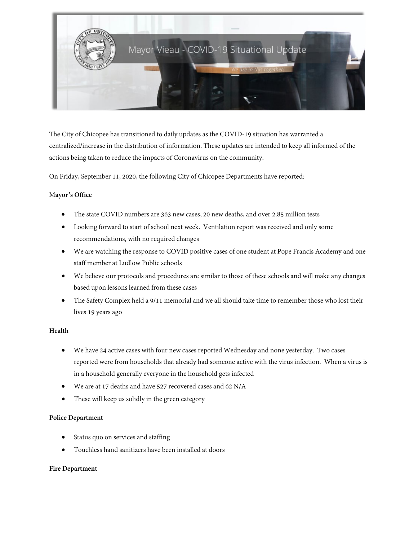

The City of Chicopee has transitioned to daily updates as the COVID-19 situation has warranted a centralized/increase in the distribution of information. These updates are intended to keep all informed of the actions being taken to reduce the impacts of Coronavirus on the community.

On Friday, September 11, 2020, the following City of Chicopee Departments have reported:

### M**ayor's Office**

- The state COVID numbers are 363 new cases, 20 new deaths, and over 2.85 million tests
- Looking forward to start of school next week. Ventilation report was received and only some recommendations, with no required changes
- We are watching the response to COVID positive cases of one student at Pope Francis Academy and one staff member at Ludlow Public schools
- We believe our protocols and procedures are similar to those of these schools and will make any changes based upon lessons learned from these cases
- The Safety Complex held a 9/11 memorial and we all should take time to remember those who lost their lives 19 years ago

## **Health**

- We have 24 active cases with four new cases reported Wednesday and none yesterday. Two cases reported were from households that already had someone active with the virus infection. When a virus is in a household generally everyone in the household gets infected
- We are at 17 deaths and have 527 recovered cases and 62 N/A
- These will keep us solidly in the green category

#### **Police Department**

- Status quo on services and staffing
- Touchless hand sanitizers have been installed at doors

#### **Fire Department**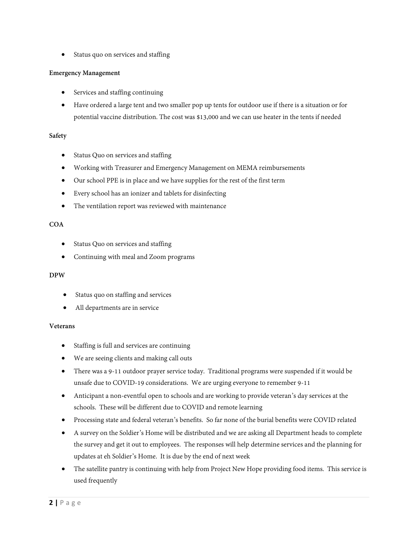• Status quo on services and staffing

## **Emergency Management**

- Services and staffing continuing
- Have ordered a large tent and two smaller pop up tents for outdoor use if there is a situation or for potential vaccine distribution. The cost was \$13,000 and we can use heater in the tents if needed

## **Safety**

- Status Quo on services and staffing
- Working with Treasurer and Emergency Management on MEMA reimbursements
- Our school PPE is in place and we have supplies for the rest of the first term
- Every school has an ionizer and tablets for disinfecting
- The ventilation report was reviewed with maintenance

### **COA**

- Status Quo on services and staffing
- Continuing with meal and Zoom programs

# **DPW**

- Status quo on staffing and services
- All departments are in service

#### **Veterans**

- Staffing is full and services are continuing
- We are seeing clients and making call outs
- There was a 9-11 outdoor prayer service today. Traditional programs were suspended if it would be unsafe due to COVID-19 considerations. We are urging everyone to remember 9-11
- Anticipant a non-eventful open to schools and are working to provide veteran's day services at the schools. These will be different due to COVID and remote learning
- Processing state and federal veteran's benefits. So far none of the burial benefits were COVID related
- A survey on the Soldier's Home will be distributed and we are asking all Department heads to complete the survey and get it out to employees. The responses will help determine services and the planning for updates at eh Soldier's Home. It is due by the end of next week
- The satellite pantry is continuing with help from Project New Hope providing food items. This service is used frequently